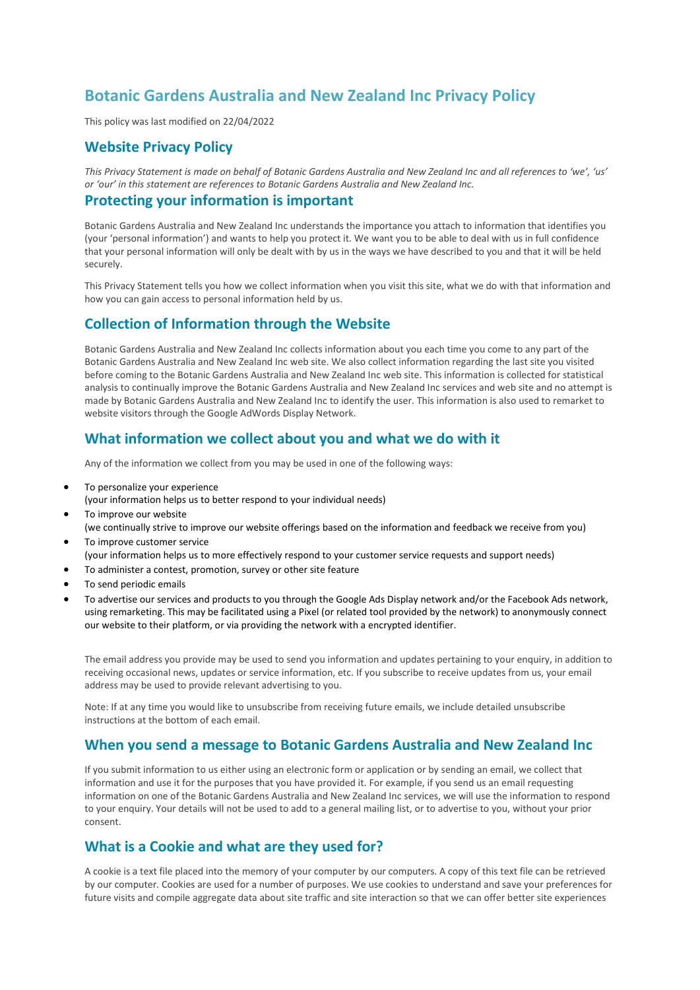# **Botanic Gardens Australia and New Zealand Inc Privacy Policy**

This policy was last modified on 22/04/2022

#### **Website Privacy Policy**

*This Privacy Statement is made on behalf of Botanic Gardens Australia and New Zealand Inc and all references to 'we', 'us' or 'our' in this statement are references to Botanic Gardens Australia and New Zealand Inc.*

#### **Protecting your information is important**

Botanic Gardens Australia and New Zealand Inc understands the importance you attach to information that identifies you (your 'personal information') and wants to help you protect it. We want you to be able to deal with us in full confidence that your personal information will only be dealt with by us in the ways we have described to you and that it will be held securely.

This Privacy Statement tells you how we collect information when you visit this site, what we do with that information and how you can gain access to personal information held by us.

#### **Collection of Information through the Website**

Botanic Gardens Australia and New Zealand Inc collects information about you each time you come to any part of the Botanic Gardens Australia and New Zealand Inc web site. We also collect information regarding the last site you visited before coming to the Botanic Gardens Australia and New Zealand Inc web site. This information is collected for statistical analysis to continually improve the Botanic Gardens Australia and New Zealand Inc services and web site and no attempt is made by Botanic Gardens Australia and New Zealand Inc to identify the user. This information is also used to remarket to website visitors through the Google AdWords Display Network.

#### **What information we collect about you and what we do with it**

Any of the information we collect from you may be used in one of the following ways:

- To personalize your experience
	- (your information helps us to better respond to your individual needs)
- To improve our website (we continually strive to improve our website offerings based on the information and feedback we receive from you)
- To improve customer service (your information helps us to more effectively respond to your customer service requests and support needs)
- To administer a contest, promotion, survey or other site feature
- To send periodic emails
- To advertise our services and products to you through the Google Ads Display network and/or the Facebook Ads network, using remarketing. This may be facilitated using a Pixel (or related tool provided by the network) to anonymously connect our website to their platform, or via providing the network with a encrypted identifier.

The email address you provide may be used to send you information and updates pertaining to your enquiry, in addition to receiving occasional news, updates or service information, etc. If you subscribe to receive updates from us, your email address may be used to provide relevant advertising to you.

Note: If at any time you would like to unsubscribe from receiving future emails, we include detailed unsubscribe instructions at the bottom of each email.

### **When you send a message to Botanic Gardens Australia and New Zealand Inc**

If you submit information to us either using an electronic form or application or by sending an email, we collect that information and use it for the purposes that you have provided it. For example, if you send us an email requesting information on one of the Botanic Gardens Australia and New Zealand Inc services, we will use the information to respond to your enquiry. Your details will not be used to add to a general mailing list, or to advertise to you, without your prior consent.

### **What is a Cookie and what are they used for?**

A cookie is a text file placed into the memory of your computer by our computers. A copy of this text file can be retrieved by our computer. Cookies are used for a number of purposes. We use cookies to understand and save your preferences for future visits and compile aggregate data about site traffic and site interaction so that we can offer better site experiences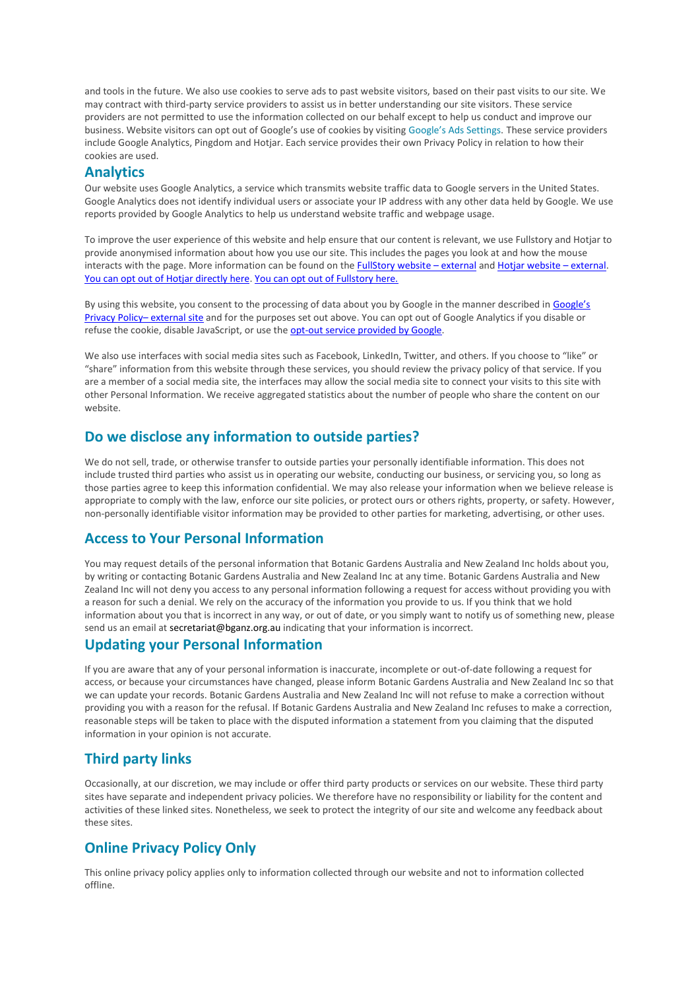and tools in the future. We also use cookies to serve ads to past website visitors, based on their past visits to our site. We may contract with third-party service providers to assist us in better understanding our site visitors. These service providers are not permitted to use the information collected on our behalf except to help us conduct and improve our business. Website visitors can opt out of Google's use of cookies by visiting [Google's Ads Settings](http://www.google.com/settings/ads?hl=en-GB&sig=ACi0TCigRIpxhwRL6sYMbpRuNXoagF5Gq5Y_K6wSCPRjPcngqHWnwCnAhHinXnMOYRX-bkeEhNCKcffsbPo_0IlFoDErFJQYTruOVAA53zZQgZ_fl2nlu7shWFYCZACYhMsAGOVcgi62G1j2ghflEYVoNhMQNmRW0VyUzc57B0m_NdUwMUJzmNauwoLKPrDeNvPgOZCHZqXWwuHkX1skWpJdAO4ed6Oc-w). These service providers include Google Analytics, Pingdom and Hotjar. Each service provides their own Privacy Policy in relation to how their cookies are used.

### **Analytics**

Our website uses Google Analytics, a service which transmits website traffic data to Google servers in the United States. Google Analytics does not identify individual users or associate your IP address with any other data held by Google. We use reports provided by Google Analytics to help us understand website traffic and webpage usage.

To improve the user experience of this website and help ensure that our content is relevant, we use Fullstory and Hotjar to provide anonymised information about how you use our site. This includes the pages you look at and how the mouse interacts with the page. More information can be found on the [FullStory website](https://www.fullstory.com/legal/privacy/) – external an[d Hotjar website](https://www.hotjar.com/legal/policies/privacy) – external. [You can opt out of Hotjar directly here.](https://www.hotjar.com/legal/compliance/opt-out) [You can opt out of Fullstory here.](https://www.fullstory.com/optout)

By using this website, you consent to the processing of data about you by Google in the manner described in Google's [Privacy Policy](https://www.google.com/policies/privacy/)– external site and for the purposes set out above. You can opt out of Google Analytics if you disable or refuse the cookie, disable JavaScript, or use the [opt-out service provided by Google.](https://tools.google.com/dlpage/gaoptout)

We also use interfaces with social media sites such as Facebook, LinkedIn, Twitter, and others. If you choose to "like" or "share" information from this website through these services, you should review the privacy policy of that service. If you are a member of a social media site, the interfaces may allow the social media site to connect your visits to this site with other Personal Information. We receive aggregated statistics about the number of people who share the content on our website.

## **Do we disclose any information to outside parties?**

We do not sell, trade, or otherwise transfer to outside parties your personally identifiable information. This does not include trusted third parties who assist us in operating our website, conducting our business, or servicing you, so long as those parties agree to keep this information confidential. We may also release your information when we believe release is appropriate to comply with the law, enforce our site policies, or protect ours or others rights, property, or safety. However, non-personally identifiable visitor information may be provided to other parties for marketing, advertising, or other uses.

## **Access to Your Personal Information**

You may request details of the personal information that Botanic Gardens Australia and New Zealand Inc holds about you, by writing or contacting Botanic Gardens Australia and New Zealand Inc at any time. Botanic Gardens Australia and New Zealand Inc will not deny you access to any personal information following a request for access without providing you with a reason for such a denial. We rely on the accuracy of the information you provide to us. If you think that we hold information about you that is incorrect in any way, or out of date, or you simply want to notify us of something new, please send us an email at secretariat@bganz.org.au indicating that your information is incorrect.

### **Updating your Personal Information**

If you are aware that any of your personal information is inaccurate, incomplete or out-of-date following a request for access, or because your circumstances have changed, please inform Botanic Gardens Australia and New Zealand Inc so that we can update your records. Botanic Gardens Australia and New Zealand Inc will not refuse to make a correction without providing you with a reason for the refusal. If Botanic Gardens Australia and New Zealand Inc refuses to make a correction, reasonable steps will be taken to place with the disputed information a statement from you claiming that the disputed information in your opinion is not accurate.

## **Third party links**

Occasionally, at our discretion, we may include or offer third party products or services on our website. These third party sites have separate and independent privacy policies. We therefore have no responsibility or liability for the content and activities of these linked sites. Nonetheless, we seek to protect the integrity of our site and welcome any feedback about these sites.

## **Online Privacy Policy Only**

This online privacy policy applies only to information collected through our website and not to information collected offline.